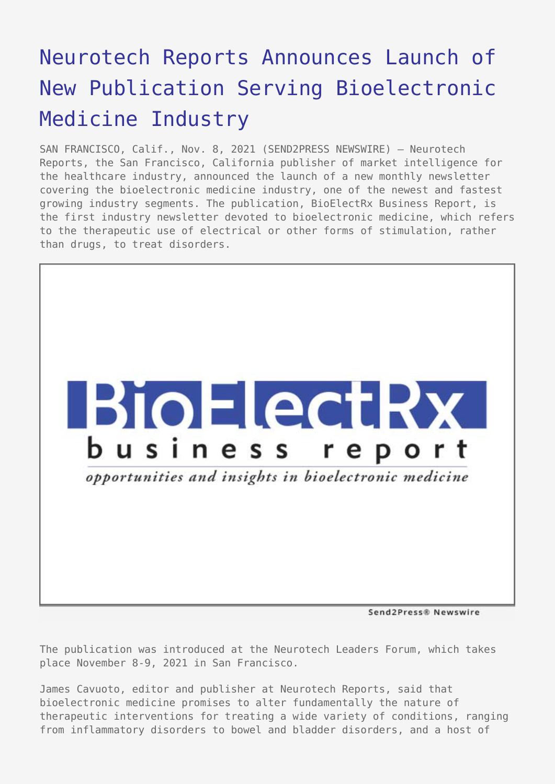## [Neurotech Reports Announces Launch of](https://www.send2press.com/wire/neurotech-reports-announces-launch-of-new-publication-serving-bioelectronic-medicine-industry/) [New Publication Serving Bioelectronic](https://www.send2press.com/wire/neurotech-reports-announces-launch-of-new-publication-serving-bioelectronic-medicine-industry/) [Medicine Industry](https://www.send2press.com/wire/neurotech-reports-announces-launch-of-new-publication-serving-bioelectronic-medicine-industry/)

SAN FRANCISCO, Calif., Nov. 8, 2021 (SEND2PRESS NEWSWIRE) — Neurotech Reports, the San Francisco, California publisher of market intelligence for the healthcare industry, announced the launch of a new monthly newsletter covering the bioelectronic medicine industry, one of the newest and fastest growing industry segments. The publication, BioElectRx Business Report, is the first industry newsletter devoted to bioelectronic medicine, which refers to the therapeutic use of electrical or other forms of stimulation, rather than drugs, to treat disorders.



The publication was introduced at the Neurotech Leaders Forum, which takes place November 8-9, 2021 in San Francisco.

James Cavuoto, editor and publisher at Neurotech Reports, said that bioelectronic medicine promises to alter fundamentally the nature of therapeutic interventions for treating a wide variety of conditions, ranging from inflammatory disorders to bowel and bladder disorders, and a host of